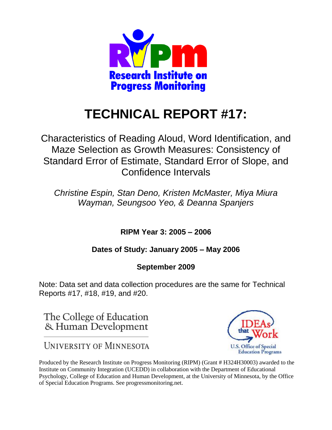

# **TECHNICAL REPORT #17:**

Characteristics of Reading Aloud, Word Identification, and Maze Selection as Growth Measures: Consistency of Standard Error of Estimate, Standard Error of Slope, and Confidence Intervals

*Christine Espin, Stan Deno, Kristen McMaster, Miya Miura Wayman, Seungsoo Yeo, & Deanna Spanjers*

**RIPM Year 3: 2005 – 2006** 

**Dates of Study: January 2005 – May 2006** 

**September 2009**

Note: Data set and data collection procedures are the same for Technical Reports #17, #18, #19, and #20.

The College of Education & Human Development

**UNIVERSITY OF MINNESOTA** 



Produced by the Research Institute on Progress Monitoring (RIPM) (Grant # H324H30003) awarded to the Institute on Community Integration (UCEDD) in collaboration with the Department of Educational Psychology, College of Education and Human Development, at the University of Minnesota, by the Office of Special Education Programs. See progressmonitoring.net.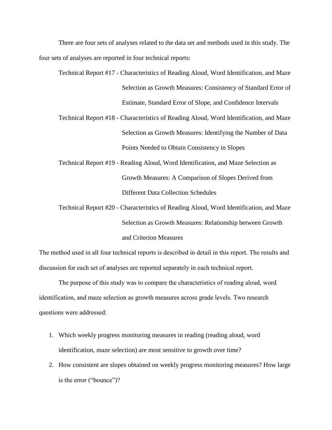There are four sets of analyses related to the data set and methods used in this study. The four sets of analyses are reported in four technical reports:

Technical Report #17 - Characteristics of Reading Aloud, Word Identification, and Maze Selection as Growth Measures: Consistency of Standard Error of Estimate, Standard Error of Slope, and Confidence Intervals

Technical Report #18 - Characteristics of Reading Aloud, Word Identification, and Maze Selection as Growth Measures: Identifying the Number of Data Points Needed to Obtain Consistency in Slopes

Technical Report #19 - Reading Aloud, Word Identification, and Maze Selection as Growth Measures: A Comparison of Slopes Derived from Different Data Collection Schedules

Technical Report #20 - Characteristics of Reading Aloud, Word Identification, and Maze Selection as Growth Measures: Relationship between Growth and Criterion Measures

The method used in all four technical reports is described in detail in this report. The results and discussion for each set of analyses are reported separately in each technical report.

The purpose of this study was to compare the characteristics of reading aloud, word identification, and maze selection as growth measures across grade levels. Two research questions were addressed:

- 1. Which weekly progress monitoring measures in reading (reading aloud, word identification, maze selection) are most sensitive to growth over time?
- 2. How consistent are slopes obtained on weekly progress monitoring measures? How large is the error ("bounce")?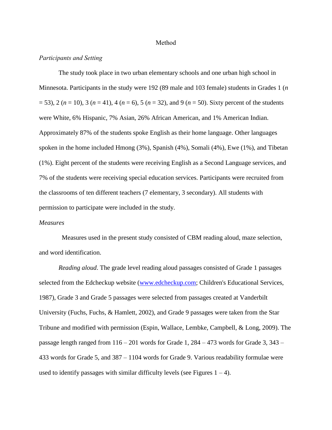#### Method

#### *Participants and Setting*

The study took place in two urban elementary schools and one urban high school in Minnesota. Participants in the study were 192 (89 male and 103 female) students in Grades 1 (*n*  $(1, 3, 2)$  ( $n = 10$ ), 3 ( $n = 41$ ), 4 ( $n = 6$ ), 5 ( $n = 32$ ), and 9 ( $n = 50$ ). Sixty percent of the students were White, 6% Hispanic, 7% Asian, 26% African American, and 1% American Indian. Approximately 87% of the students spoke English as their home language. Other languages spoken in the home included Hmong (3%), Spanish (4%), Somali (4%), Ewe (1%), and Tibetan (1%). Eight percent of the students were receiving English as a Second Language services, and 7% of the students were receiving special education services. Participants were recruited from the classrooms of ten different teachers (7 elementary, 3 secondary). All students with permission to participate were included in the study.

#### *Measures*

Measures used in the present study consisted of CBM reading aloud, maze selection, and word identification.

*Reading aloud*. The grade level reading aloud passages consisted of Grade 1 passages selected from the Edcheckup website [\(www.edcheckup.com;](http://www.edcheckup.com/) Children's Educational Services, 1987), Grade 3 and Grade 5 passages were selected from passages created at Vanderbilt University (Fuchs, Fuchs, & Hamlett, 2002), and Grade 9 passages were taken from the Star Tribune and modified with permission (Espin, Wallace, Lembke, Campbell, & Long, 2009). The passage length ranged from  $116 - 201$  words for Grade 1, 284 – 473 words for Grade 3, 343 – 433 words for Grade 5, and 387 – 1104 words for Grade 9. Various readability formulae were used to identify passages with similar difficulty levels (see Figures  $1 - 4$ ).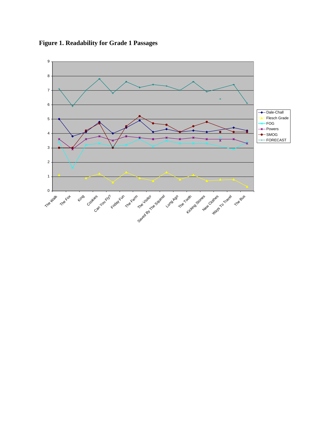

**Figure 1. Readability for Grade 1 Passages**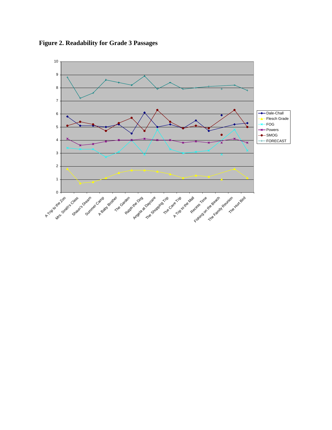**Figure 2. Readability for Grade 3 Passages**

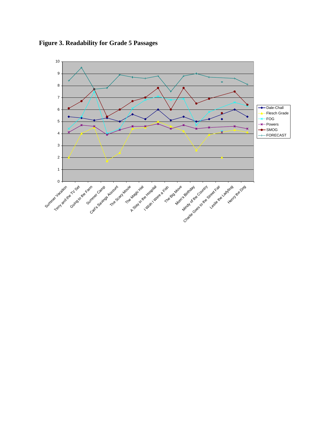**Figure 3. Readability for Grade 5 Passages**

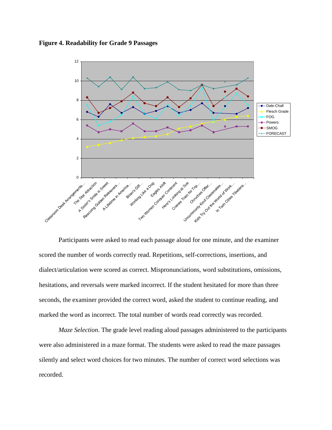**Figure 4. Readability for Grade 9 Passages**



Participants were asked to read each passage aloud for one minute, and the examiner scored the number of words correctly read. Repetitions, self-corrections, insertions, and dialect/articulation were scored as correct. Mispronunciations, word substitutions, omissions, hesitations, and reversals were marked incorrect. If the student hesitated for more than three seconds, the examiner provided the correct word, asked the student to continue reading, and marked the word as incorrect. The total number of words read correctly was recorded.

*Maze Selection*. The grade level reading aloud passages administered to the participants were also administered in a maze format. The students were asked to read the maze passages silently and select word choices for two minutes. The number of correct word selections was recorded.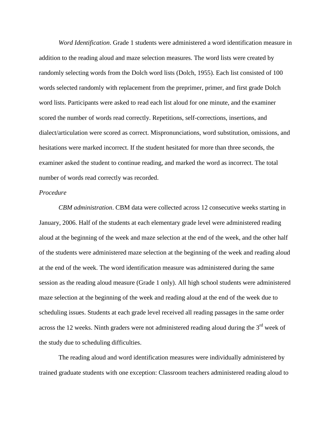*Word Identification*. Grade 1 students were administered a word identification measure in addition to the reading aloud and maze selection measures. The word lists were created by randomly selecting words from the Dolch word lists (Dolch, 1955). Each list consisted of 100 words selected randomly with replacement from the preprimer, primer, and first grade Dolch word lists. Participants were asked to read each list aloud for one minute, and the examiner scored the number of words read correctly. Repetitions, self-corrections, insertions, and dialect/articulation were scored as correct. Mispronunciations, word substitution, omissions, and hesitations were marked incorrect. If the student hesitated for more than three seconds, the examiner asked the student to continue reading, and marked the word as incorrect. The total number of words read correctly was recorded.

#### *Procedure*

*CBM administration*. CBM data were collected across 12 consecutive weeks starting in January, 2006. Half of the students at each elementary grade level were administered reading aloud at the beginning of the week and maze selection at the end of the week, and the other half of the students were administered maze selection at the beginning of the week and reading aloud at the end of the week. The word identification measure was administered during the same session as the reading aloud measure (Grade 1 only). All high school students were administered maze selection at the beginning of the week and reading aloud at the end of the week due to scheduling issues. Students at each grade level received all reading passages in the same order across the 12 weeks. Ninth graders were not administered reading aloud during the  $3<sup>rd</sup>$  week of the study due to scheduling difficulties.

The reading aloud and word identification measures were individually administered by trained graduate students with one exception: Classroom teachers administered reading aloud to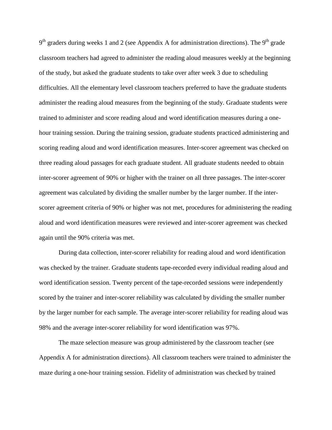$9<sup>th</sup>$  graders during weeks 1 and 2 (see Appendix A for administration directions). The  $9<sup>th</sup>$  grade classroom teachers had agreed to administer the reading aloud measures weekly at the beginning of the study, but asked the graduate students to take over after week 3 due to scheduling difficulties. All the elementary level classroom teachers preferred to have the graduate students administer the reading aloud measures from the beginning of the study. Graduate students were trained to administer and score reading aloud and word identification measures during a onehour training session. During the training session, graduate students practiced administering and scoring reading aloud and word identification measures. Inter-scorer agreement was checked on three reading aloud passages for each graduate student. All graduate students needed to obtain inter-scorer agreement of 90% or higher with the trainer on all three passages. The inter-scorer agreement was calculated by dividing the smaller number by the larger number. If the interscorer agreement criteria of 90% or higher was not met, procedures for administering the reading aloud and word identification measures were reviewed and inter-scorer agreement was checked again until the 90% criteria was met.

During data collection, inter-scorer reliability for reading aloud and word identification was checked by the trainer. Graduate students tape-recorded every individual reading aloud and word identification session. Twenty percent of the tape-recorded sessions were independently scored by the trainer and inter-scorer reliability was calculated by dividing the smaller number by the larger number for each sample. The average inter-scorer reliability for reading aloud was 98% and the average inter-scorer reliability for word identification was 97%.

The maze selection measure was group administered by the classroom teacher (see Appendix A for administration directions). All classroom teachers were trained to administer the maze during a one-hour training session. Fidelity of administration was checked by trained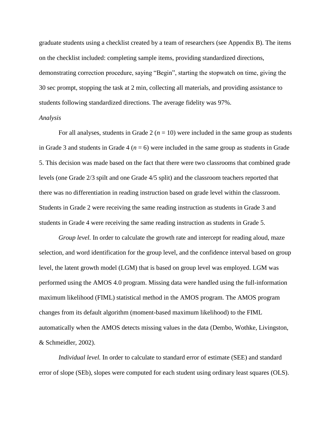graduate students using a checklist created by a team of researchers (see Appendix B). The items on the checklist included: completing sample items, providing standardized directions, demonstrating correction procedure, saying "Begin", starting the stopwatch on time, giving the 30 sec prompt, stopping the task at 2 min, collecting all materials, and providing assistance to students following standardized directions. The average fidelity was 97%.

#### *Analysis*

For all analyses, students in Grade  $2 (n = 10)$  were included in the same group as students in Grade 3 and students in Grade 4 ( $n = 6$ ) were included in the same group as students in Grade 5. This decision was made based on the fact that there were two classrooms that combined grade levels (one Grade 2/3 spilt and one Grade 4/5 split) and the classroom teachers reported that there was no differentiation in reading instruction based on grade level within the classroom. Students in Grade 2 were receiving the same reading instruction as students in Grade 3 and students in Grade 4 were receiving the same reading instruction as students in Grade 5.

*Group level.* In order to calculate the growth rate and intercept for reading aloud, maze selection, and word identification for the group level, and the confidence interval based on group level, the latent growth model (LGM) that is based on group level was employed. LGM was performed using the AMOS 4.0 program. Missing data were handled using the full-information maximum likelihood (FIML) statistical method in the AMOS program. The AMOS program changes from its default algorithm (moment-based maximum likelihood) to the FIML automatically when the AMOS detects missing values in the data (Dembo, Wothke, Livingston, & Schmeidler, 2002).

*Individual level.* In order to calculate to standard error of estimate (SEE) and standard error of slope (SEb), slopes were computed for each student using ordinary least squares (OLS).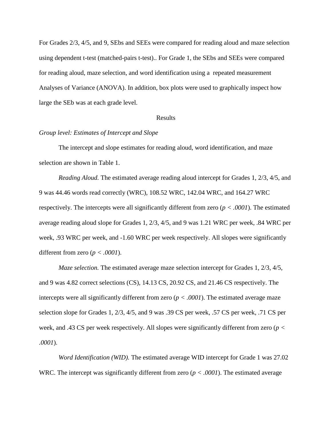For Grades 2/3, 4/5, and 9, SEbs and SEEs were compared for reading aloud and maze selection using dependent t-test (matched-pairs t-test).. For Grade 1, the SEbs and SEEs were compared for reading aloud, maze selection, and word identification using a repeated measurement Analyses of Variance (ANOVA). In addition, box plots were used to graphically inspect how large the SEb was at each grade level.

#### Results

#### *Group level: Estimates of Intercept and Slope*

The intercept and slope estimates for reading aloud, word identification, and maze selection are shown in Table 1.

*Reading Aloud.* The estimated average reading aloud intercept for Grades 1, 2/3, 4/5, and 9 was 44.46 words read correctly (WRC), 108.52 WRC, 142.04 WRC, and 164.27 WRC respectively. The intercepts were all significantly different from zero (*p < .0001*). The estimated average reading aloud slope for Grades 1, 2/3, 4/5, and 9 was 1.21 WRC per week, .84 WRC per week, .93 WRC per week, and -1.60 WRC per week respectively. All slopes were significantly different from zero (*p < .0001*).

*Maze selection.* The estimated average maze selection intercept for Grades 1, 2/3, 4/5, and 9 was 4.82 correct selections (CS), 14.13 CS, 20.92 CS, and 21.46 CS respectively. The intercepts were all significantly different from zero (*p < .0001*). The estimated average maze selection slope for Grades 1, 2/3, 4/5, and 9 was .39 CS per week, .57 CS per week, .71 CS per week, and .43 CS per week respectively. All slopes were significantly different from zero (*p < .0001*).

*Word Identification (WID).* The estimated average WID intercept for Grade 1 was 27.02 WRC. The intercept was significantly different from zero (*p < .0001*). The estimated average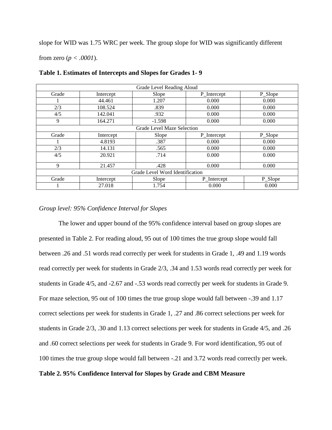slope for WID was 1.75 WRC per week. The group slope for WID was significantly different

from zero (*p < .0001*).

| Grade Level Reading Aloud       |           |          |             |         |  |  |
|---------------------------------|-----------|----------|-------------|---------|--|--|
| Grade                           | Intercept | Slope    | P_Intercept | P_Slope |  |  |
|                                 | 44.461    | 1.207    | 0.000       | 0.000   |  |  |
| 2/3                             | 108.524   | .839     | 0.000       | 0.000   |  |  |
| 4/5                             | 142.041   | .932     | 0.000       | 0.000   |  |  |
| 9                               | 164.271   | $-1.598$ | 0.000       | 0.000   |  |  |
| Grade Level Maze Selection      |           |          |             |         |  |  |
| Grade                           | Intercept | Slope    | P_Intercept | P_Slope |  |  |
|                                 | 4.8193    | .387     | 0.000       | 0.000   |  |  |
| 2/3                             | 14.131    | .565     | 0.000       | 0.000   |  |  |
| 4/5                             | 20.921    | .714     | 0.000       | 0.000   |  |  |
| 9                               | 21.457    | .428     | 0.000       | 0.000   |  |  |
| Grade Level Word Identification |           |          |             |         |  |  |
| Grade                           | Intercept | Slope    | P_Intercept | P_Slope |  |  |
|                                 | 27.018    | 1.754    | 0.000       | 0.000   |  |  |

**Table 1. Estimates of Intercepts and Slopes for Grades 1- 9** 

#### *Group level: 95% Confidence Interval for Slopes*

The lower and upper bound of the 95% confidence interval based on group slopes are presented in Table 2. For reading aloud, 95 out of 100 times the true group slope would fall between .26 and .51 words read correctly per week for students in Grade 1, .49 and 1.19 words read correctly per week for students in Grade 2/3, .34 and 1.53 words read correctly per week for students in Grade  $4/5$ , and  $-2.67$  and  $-53$  words read correctly per week for students in Grade 9. For maze selection, 95 out of 100 times the true group slope would fall between -.39 and 1.17 correct selections per week for students in Grade 1, .27 and .86 correct selections per week for students in Grade 2/3, .30 and 1.13 correct selections per week for students in Grade 4/5, and .26 and .60 correct selections per week for students in Grade 9. For word identification, 95 out of 100 times the true group slope would fall between -.21 and 3.72 words read correctly per week.

## **Table 2. 95% Confidence Interval for Slopes by Grade and CBM Measure**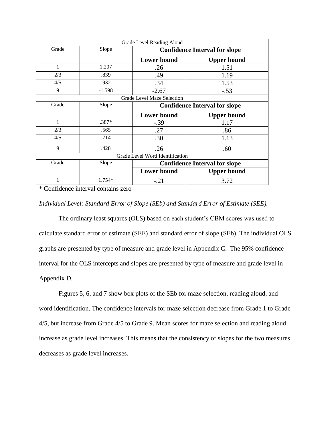| Grade Level Reading Aloud |                                 |                                      |                    |  |  |  |
|---------------------------|---------------------------------|--------------------------------------|--------------------|--|--|--|
| Grade                     | Slope                           | <b>Confidence Interval for slope</b> |                    |  |  |  |
|                           |                                 | <b>Lower bound</b>                   | <b>Upper bound</b> |  |  |  |
| 1                         | 1.207                           | .26                                  | 1.51               |  |  |  |
| 2/3                       | .839                            | .49                                  | 1.19               |  |  |  |
| 4/5                       | .932                            | .34                                  | 1.53               |  |  |  |
| 9                         | $-1.598$                        | $-2.67$                              | $-.53$             |  |  |  |
|                           |                                 | Grade Level Maze Selection           |                    |  |  |  |
| Grade                     | Slope                           | <b>Confidence Interval for slope</b> |                    |  |  |  |
|                           |                                 | <b>Lower bound</b>                   | <b>Upper bound</b> |  |  |  |
| 1                         | .387*                           | $-.39$                               | 1.17               |  |  |  |
| 2/3                       | .565                            | .27                                  | .86                |  |  |  |
| 4/5                       | .714                            | .30                                  | 1.13               |  |  |  |
| 9                         | .428                            | .26                                  | .60                |  |  |  |
|                           | Grade Level Word Identification |                                      |                    |  |  |  |
| Grade                     | Slope                           | <b>Confidence Interval for slope</b> |                    |  |  |  |
|                           |                                 | <b>Lower bound</b>                   | <b>Upper bound</b> |  |  |  |
|                           | $1.754*$                        | $-.21$                               | 3.72               |  |  |  |

\* Confidence interval contains zero

#### *Individual Level: Standard Error of Slope (SEb) and Standard Error of Estimate (SEE).*

The ordinary least squares (OLS) based on each student's CBM scores was used to calculate standard error of estimate (SEE) and standard error of slope (SEb). The individual OLS graphs are presented by type of measure and grade level in Appendix C. The 95% confidence interval for the OLS intercepts and slopes are presented by type of measure and grade level in Appendix D.

Figures 5, 6, and 7 show box plots of the SEb for maze selection, reading aloud, and word identification. The confidence intervals for maze selection decrease from Grade 1 to Grade 4/5, but increase from Grade 4/5 to Grade 9. Mean scores for maze selection and reading aloud increase as grade level increases. This means that the consistency of slopes for the two measures decreases as grade level increases.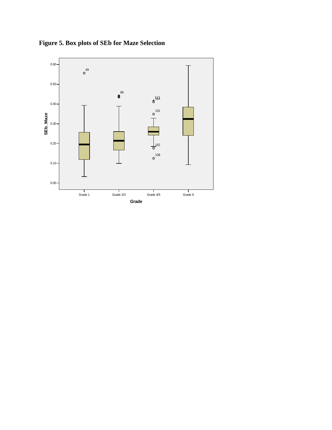

**Figure 5. Box plots of SEb for Maze Selection**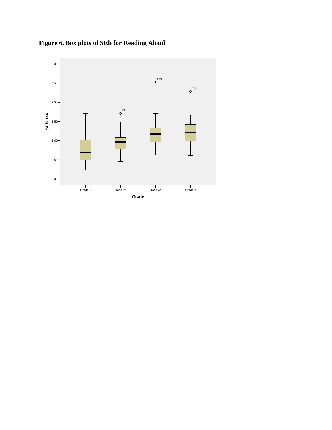

**Figure 6. Box plots of SEb for Reading Aloud**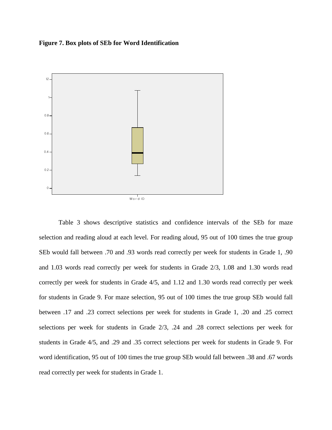#### **Figure 7. Box plots of SEb for Word Identification**



Table 3 shows descriptive statistics and confidence intervals of the SEb for maze selection and reading aloud at each level. For reading aloud, 95 out of 100 times the true group SEb would fall between .70 and .93 words read correctly per week for students in Grade 1, .90 and 1.03 words read correctly per week for students in Grade 2/3, 1.08 and 1.30 words read correctly per week for students in Grade 4/5, and 1.12 and 1.30 words read correctly per week for students in Grade 9. For maze selection, 95 out of 100 times the true group SEb would fall between .17 and .23 correct selections per week for students in Grade 1, .20 and .25 correct selections per week for students in Grade 2/3, .24 and .28 correct selections per week for students in Grade 4/5, and .29 and .35 correct selections per week for students in Grade 9. For word identification, 95 out of 100 times the true group SEb would fall between .38 and .67 words read correctly per week for students in Grade 1.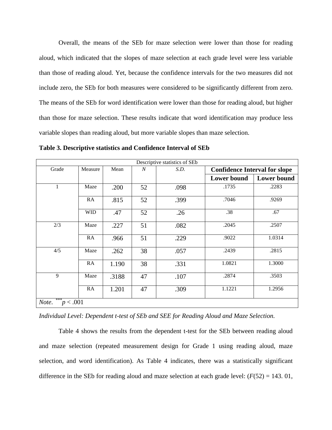Overall, the means of the SEb for maze selection were lower than those for reading aloud, which indicated that the slopes of maze selection at each grade level were less variable than those of reading aloud. Yet, because the confidence intervals for the two measures did not include zero, the SEb for both measures were considered to be significantly different from zero. The means of the SEb for word identification were lower than those for reading aloud, but higher than those for maze selection. These results indicate that word identification may produce less variable slopes than reading aloud, but more variable slopes than maze selection.

| Descriptive statistics of SEb |            |       |                  |      |                                      |                    |
|-------------------------------|------------|-------|------------------|------|--------------------------------------|--------------------|
| Grade                         | Measure    | Mean  | $\boldsymbol{N}$ | S.D. | <b>Confidence Interval for slope</b> |                    |
|                               |            |       |                  |      | <b>Lower bound</b>                   | <b>Lower bound</b> |
| 1                             | Maze       | .200  | 52               | .098 | .1735                                | .2283              |
|                               | RA         | .815  | 52               | .399 | .7046                                | .9269              |
|                               | <b>WID</b> | .47   | 52               | .26  | .38                                  | .67                |
| 2/3                           | Maze       | .227  | 51               | .082 | .2045                                | .2507              |
|                               | RA         | .966  | 51               | .229 | .9022                                | 1.0314             |
| 4/5                           | Maze       | .262  | 38               | .057 | .2439                                | .2815              |
|                               | RA         | 1.190 | 38               | .331 | 1.0821                               | 1.3000             |
| 9                             | Maze       | .3188 | 47               | .107 | .2874                                | .3503              |
|                               | RA         | 1.201 | 47               | .309 | 1.1221                               | 1.2956             |
| <i>Note.</i> *** $p < .001$   |            |       |                  |      |                                      |                    |

**Table 3. Descriptive statistics and Confidence Interval of SEb**

*Individual Level: Dependent t-test of SEb and SEE for Reading Aloud and Maze Selection.*

Table 4 shows the results from the dependent t-test for the SEb between reading aloud and maze selection (repeated measurement design for Grade 1 using reading aloud, maze selection, and word identification). As Table 4 indicates, there was a statistically significant difference in the SEb for reading aloud and maze selection at each grade level:  $(F(52) = 143.01,$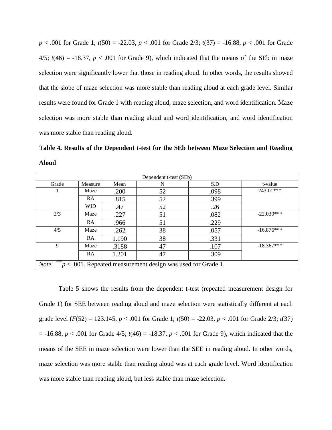*p* < .001 for Grade 1; *t*(50) = -22.03, *p* < .001 for Grade 2/3; *t*(37) = -16.88, *p* < .001 for Grade  $4/5$ ;  $t(46) = -18.37$ ,  $p < .001$  for Grade 9), which indicated that the means of the SEb in maze selection were significantly lower that those in reading aloud. In other words, the results showed that the slope of maze selection was more stable than reading aloud at each grade level. Similar results were found for Grade 1 with reading aloud, maze selection, and word identification. Maze selection was more stable than reading aloud and word identification, and word identification was more stable than reading aloud.

**Table 4. Results of the Dependent t-test for the SEb between Maze Selection and Reading Aloud** 

| Dependent t-test (SEb)                                                         |            |       |    |      |              |  |
|--------------------------------------------------------------------------------|------------|-------|----|------|--------------|--|
| Grade                                                                          | Measure    | Mean  | N  | S.D  | t-value      |  |
|                                                                                | Maze       | .200  | 52 | .098 | 243.01***    |  |
|                                                                                | RA         | .815  | 52 | .399 |              |  |
|                                                                                | <b>WID</b> | .47   | 52 | .26  |              |  |
| 2/3                                                                            | Maze       | .227  | 51 | .082 | $-22.030***$ |  |
|                                                                                | RA         | .966  | 51 | .229 |              |  |
| 4/5                                                                            | Maze       | .262  | 38 | .057 | $-16.876***$ |  |
|                                                                                | RA         | 1.190 | 38 | .331 |              |  |
| 9                                                                              | Maze       | .3188 | 47 | .107 | $-18.367***$ |  |
|                                                                                | RA         | 1.201 | 47 | .309 |              |  |
| ***<br>Note.<br>$p < .001$ . Repeated measurement design was used for Grade 1. |            |       |    |      |              |  |

Table 5 shows the results from the dependent t-test (repeated measurement design for Grade 1) for SEE between reading aloud and maze selection were statistically different at each grade level  $(F(52) = 123.145, p < .001$  for Grade 1;  $t(50) = -22.03, p < .001$  for Grade 2/3;  $t(37)$  $= -16.88$ ,  $p < .001$  for Grade 4/5;  $t(46) = -18.37$ ,  $p < .001$  for Grade 9), which indicated that the means of the SEE in maze selection were lower than the SEE in reading aloud. In other words, maze selection was more stable than reading aloud was at each grade level. Word identification was more stable than reading aloud, but less stable than maze selection.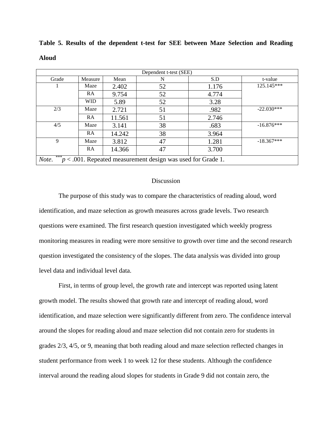| Dependent t-test (SEE)                                                         |            |        |    |       |              |  |
|--------------------------------------------------------------------------------|------------|--------|----|-------|--------------|--|
| Grade                                                                          | Measure    | Mean   | N  | S.D   | t-value      |  |
|                                                                                | Maze       | 2.402  | 52 | 1.176 | 125.145***   |  |
|                                                                                | RA         | 9.754  | 52 | 4.774 |              |  |
|                                                                                | <b>WID</b> | 5.89   | 52 | 3.28  |              |  |
| 2/3                                                                            | Maze       | 2.721  | 51 | .982  | $-22.030***$ |  |
|                                                                                | RA         | 11.561 | 51 | 2.746 |              |  |
| 4/5                                                                            | Maze       | 3.141  | 38 | .683  | $-16.876***$ |  |
|                                                                                | RA         | 14.242 | 38 | 3.964 |              |  |
| 9                                                                              | Maze       | 3.812  | 47 | 1.281 | $-18.367***$ |  |
|                                                                                | RA         | 14.366 | 47 | 3.700 |              |  |
| ***<br>Note.<br>$p < .001$ . Repeated measurement design was used for Grade 1. |            |        |    |       |              |  |

**Table 5. Results of the dependent t-test for SEE between Maze Selection and Reading Aloud**

#### **Discussion**

The purpose of this study was to compare the characteristics of reading aloud, word identification, and maze selection as growth measures across grade levels. Two research questions were examined. The first research question investigated which weekly progress monitoring measures in reading were more sensitive to growth over time and the second research question investigated the consistency of the slopes. The data analysis was divided into group level data and individual level data.

First, in terms of group level, the growth rate and intercept was reported using latent growth model. The results showed that growth rate and intercept of reading aloud, word identification, and maze selection were significantly different from zero. The confidence interval around the slopes for reading aloud and maze selection did not contain zero for students in grades 2/3, 4/5, or 9, meaning that both reading aloud and maze selection reflected changes in student performance from week 1 to week 12 for these students. Although the confidence interval around the reading aloud slopes for students in Grade 9 did not contain zero, the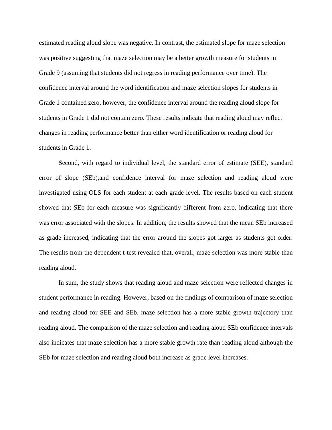estimated reading aloud slope was negative. In contrast, the estimated slope for maze selection was positive suggesting that maze selection may be a better growth measure for students in Grade 9 (assuming that students did not regress in reading performance over time). The confidence interval around the word identification and maze selection slopes for students in Grade 1 contained zero, however, the confidence interval around the reading aloud slope for students in Grade 1 did not contain zero. These results indicate that reading aloud may reflect changes in reading performance better than either word identification or reading aloud for students in Grade 1.

Second, with regard to individual level, the standard error of estimate (SEE), standard error of slope (SEb),and confidence interval for maze selection and reading aloud were investigated using OLS for each student at each grade level. The results based on each student showed that SEb for each measure was significantly different from zero, indicating that there was error associated with the slopes. In addition, the results showed that the mean SEb increased as grade increased, indicating that the error around the slopes got larger as students got older. The results from the dependent t-test revealed that, overall, maze selection was more stable than reading aloud.

In sum, the study shows that reading aloud and maze selection were reflected changes in student performance in reading. However, based on the findings of comparison of maze selection and reading aloud for SEE and SEb, maze selection has a more stable growth trajectory than reading aloud. The comparison of the maze selection and reading aloud SEb confidence intervals also indicates that maze selection has a more stable growth rate than reading aloud although the SEb for maze selection and reading aloud both increase as grade level increases.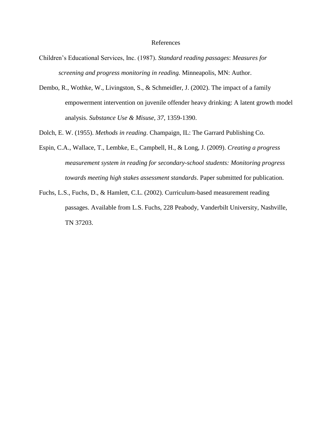#### References

- Children's Educational Services, Inc. (1987). *Standard reading passages*: *Measures for screening and progress monitoring in reading.* Minneapolis, MN: Author.
- Dembo, R., Wothke, W., Livingston, S., & Schmeidler, J. (2002). The impact of a family empowerment intervention on juvenile offender heavy drinking: A latent growth model analysis. *Substance Use & Misuse, 37*, 1359-1390.

Dolch, E. W. (1955). *Methods in reading*. Champaign, IL: The Garrard Publishing Co.

- Espin, C.A., Wallace, T., Lembke, E., Campbell, H., & Long, J. (2009). *Creating a progress measurement system in reading for secondary-school students: Monitoring progress towards meeting high stakes assessment standards*. Paper submitted for publication.
- Fuchs, L.S., Fuchs, D., & Hamlett, C.L. (2002). Curriculum-based measurement reading passages. Available from L.S. Fuchs, 228 Peabody, Vanderbilt University, Nashville, TN 37203.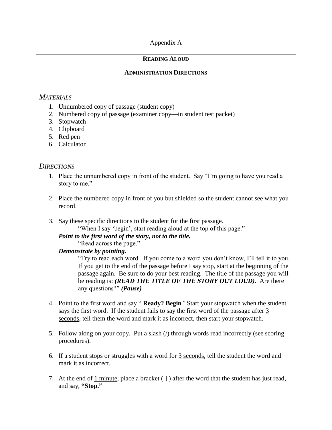## Appendix A

## **READING ALOUD**

## **ADMINISTRATION DIRECTIONS**

## *MATERIALS*

- 1. Unnumbered copy of passage (student copy)
- 2. Numbered copy of passage (examiner copy—in student test packet)
- 3. Stopwatch
- 4. Clipboard
- 5. Red pen
- 6. Calculator

# *DIRECTIONS*

- 1. Place the unnumbered copy in front of the student. Say "I'm going to have you read a story to me."
- 2. Place the numbered copy in front of you but shielded so the student cannot see what you record.
- 3. Say these specific directions to the student for the first passage.

"When I say 'begin', start reading aloud at the top of this page."

## *Point to the first word of the story, not to the title.*

"Read across the page."

## *Demonstrate by pointing.*

―Try to read each word. If you come to a word you don't know, I'll tell it to you. If you get to the end of the passage before I say stop, start at the beginning of the passage again. Be sure to do your best reading. The title of the passage you will be reading is: *(READ THE TITLE OF THE STORY OUT LOUD).* Are there any questions?" *(Pause)* 

- 4. Point to the first word and say "**Ready? Begin**" Start your stopwatch when the student says the first word. If the student fails to say the first word of the passage after 3 seconds, tell them the word and mark it as incorrect, then start your stopwatch.
- 5. Follow along on your copy. Put a slash (*/*) through words read incorrectly (see scoring procedures).
- 6. If a student stops or struggles with a word for 3 seconds, tell the student the word and mark it as incorrect.
- 7. At the end of 1 minute, place a bracket ( ] ) after the word that the student has just read, and say, **"Stop."**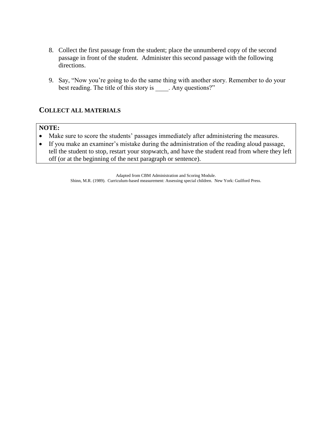- 8. Collect the first passage from the student; place the unnumbered copy of the second passage in front of the student. Administer this second passage with the following directions.
- 9. Say, "Now you're going to do the same thing with another story. Remember to do your best reading. The title of this story is \_\_\_\_\_. Any questions?"

## **COLLECT ALL MATERIALS**

#### **NOTE:**

- Make sure to score the students' passages immediately after administering the measures.
- If you make an examiner's mistake during the administration of the reading aloud passage, tell the student to stop, restart your stopwatch, and have the student read from where they left off (or at the beginning of the next paragraph or sentence).

Adapted from CBM Administration and Scoring Module. Shinn, M.R. (1989). Curriculum-based measurement: Assessing special children. New York: Guilford Press.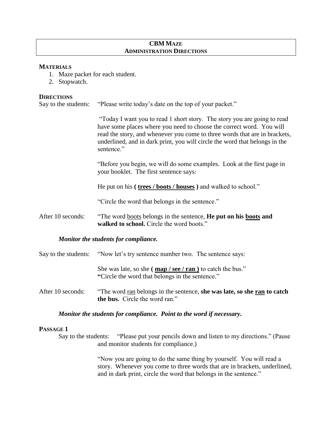## **CBM MAZE ADMINISTRATION DIRECTIONS**

#### **MATERIALS**

- 1. Maze packet for each student.
- 2. Stopwatch.

#### **DIRECTIONS**

Say to the students: "Please write today's date on the top of your packet."

―Today I want you to read 1 short story. The story you are going to read have some places where you need to choose the correct word. You will read the story, and whenever you come to three words that are in brackets, underlined, and in dark print, you will circle the word that belongs in the sentence."

―Before you begin, we will do some examples. Look at the first page in your booklet. The first sentence says:

He put on his **( trees / boots / houses )** and walked to school."

"Circle the word that belongs in the sentence."

After 10 seconds: "The word <u>boots</u> belongs in the sentence, **He put on his <u>boots</u> and** walked to school. Circle the word boots.<sup>"</sup>

#### *Monitor the students for compliance.*

|                   | Say to the students: "Now let's try sentence number two. The sentence says:                                                                                      |
|-------------------|------------------------------------------------------------------------------------------------------------------------------------------------------------------|
|                   | She was late, so she ( $\frac{\text{map}}{\text{sep}}$ / $\frac{\text{see}}{\text{ran}}$ ) to catch the bus."<br>"Circle the word that belongs in the sentence." |
| After 10 seconds: | "The word ran belongs in the sentence, she was late, so she ran to catch<br>the bus. Circle the word ran."                                                       |

#### *Monitor the students for compliance. Point to the word if necessary.*

#### **PASSAGE 1**

Say to the students: "Please put your pencils down and listen to my directions." (Pause and monitor students for compliance.)

> ―Now you are going to do the same thing by yourself. You will read a story. Whenever you come to three words that are in brackets, underlined, and in dark print, circle the word that belongs in the sentence."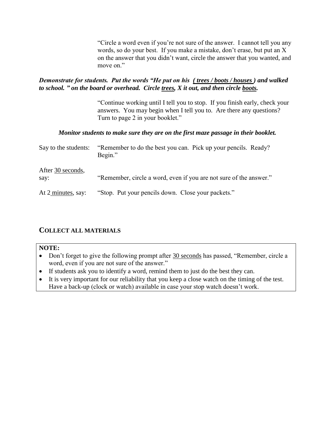―Circle a word even if you're not sure of the answer. I cannot tell you any words, so do your best. If you make a mistake, don't erase, but put an X on the answer that you didn't want, circle the answer that you wanted, and move on."

## *Demonstrate for students. Put the words "He put on his ( trees / boots / houses ) and walked to school. " on the board or overhead. Circle trees, X it out, and then circle boots.*

―Continue working until I tell you to stop. If you finish early, check your answers. You may begin when I tell you to. Are there any questions? Turn to page 2 in your booklet."

## *Monitor students to make sure they are on the first maze passage in their booklet.*

| Say to the students:      | "Remember to do the best you can. Pick up your pencils. Ready?<br>Begin." |
|---------------------------|---------------------------------------------------------------------------|
| After 30 seconds,<br>say: | "Remember, circle a word, even if you are not sure of the answer."        |
| At 2 minutes, say:        | "Stop. Put your pencils down. Close your packets."                        |

# **COLLECT ALL MATERIALS**

## **NOTE:**

- Don't forget to give the following prompt after 30 seconds has passed, "Remember, circle a word, even if you are not sure of the answer."
- If students ask you to identify a word, remind them to just do the best they can.
- It is very important for our reliability that you keep a close watch on the timing of the test. Have a back-up (clock or watch) available in case your stop watch doesn't work.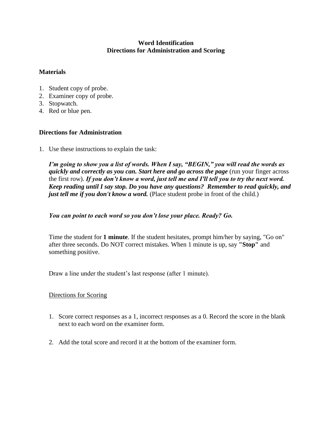## **Word Identification Directions for Administration and Scoring**

## **Materials**

- 1. Student copy of probe.
- 2. Examiner copy of probe.
- 3. Stopwatch.
- 4. Red or blue pen.

## **Directions for Administration**

1. Use these instructions to explain the task:

*I'm going to show you a list of words. When I say, "BEGIN," you will read the words as quickly and correctly as you can. Start here and go across the page* (run your finger across the first row). *If you don't know a word, just tell me and I'll tell you to try the next word. Keep reading until I say stop. Do you have any questions? Remember to read quickly, and just tell me if you don't know a word.* (Place student probe in front of the child.)

### *You can point to each word so you don't lose your place. Ready? Go.*

Time the student for **1 minute**. If the student hesitates, prompt him/her by saying, "Go on" after three seconds. Do NOT correct mistakes. When 1 minute is up, say **"Stop"** and something positive.

Draw a line under the student's last response (after 1 minute).

#### Directions for Scoring

- 1. Score correct responses as a 1, incorrect responses as a 0. Record the score in the blank next to each word on the examiner form.
- 2. Add the total score and record it at the bottom of the examiner form.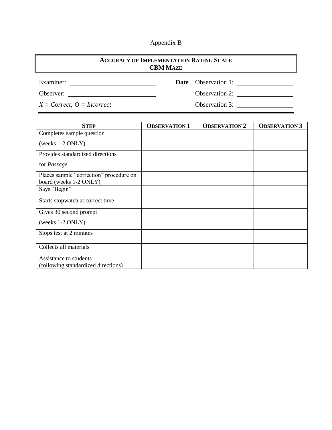# Appendix B

| <b>ACCURACY OF IMPLEMENTATION RATING SCALE</b><br><b>CBM MAZE</b> |  |                            |  |  |
|-------------------------------------------------------------------|--|----------------------------|--|--|
| Examiner:                                                         |  | <b>Date</b> Observation 1: |  |  |
| Observer:                                                         |  | Observation 2:             |  |  |
| $X = Correct; O = incorrect$                                      |  | Observation 3:             |  |  |

| <b>STEP</b>                             | <b>OBSERVATION 1</b> | <b>OBSERVATION 2</b> | <b>OBSERVATION 3</b> |
|-----------------------------------------|----------------------|----------------------|----------------------|
| Completes sample question               |                      |                      |                      |
| (weeks 1-2 ONLY)                        |                      |                      |                      |
| Provides standardized directions        |                      |                      |                      |
| for <i>Passage</i>                      |                      |                      |                      |
| Places sample "correction" procedure on |                      |                      |                      |
| board (weeks 1-2 ONLY)                  |                      |                      |                      |
| Says "Begin"                            |                      |                      |                      |
| Starts stopwatch at correct time        |                      |                      |                      |
| Gives 30 second prompt                  |                      |                      |                      |
| (weeks 1-2 ONLY)                        |                      |                      |                      |
| Stops test at 2 minutes                 |                      |                      |                      |
| Collects all materials                  |                      |                      |                      |
| Assistance to students                  |                      |                      |                      |
| (following standardized directions)     |                      |                      |                      |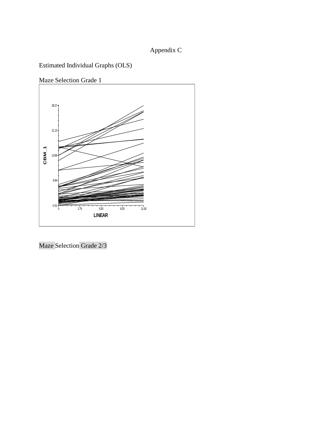# Appendix C

Estimated Individual Graphs (OLS)

Maze Selection Grade 1



Maze Selection Grade 2/3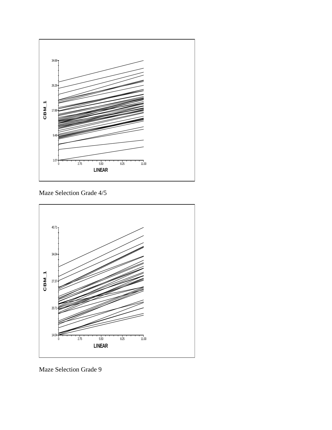

Maze Selection Grade 4/5



Maze Selection Grade 9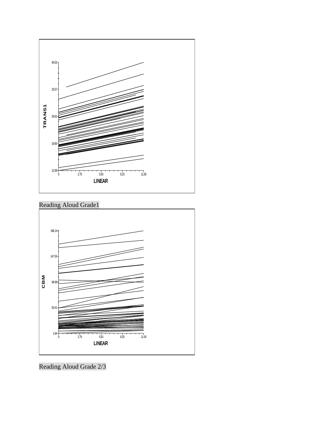





Reading Aloud Grade 2/3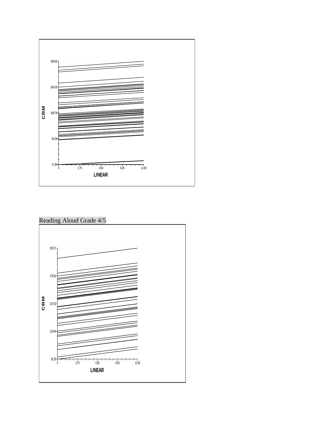

# Reading Aloud Grade 4/5

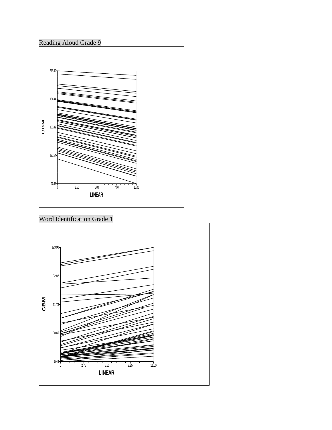# Reading Aloud Grade 9



Word Identification Grade 1

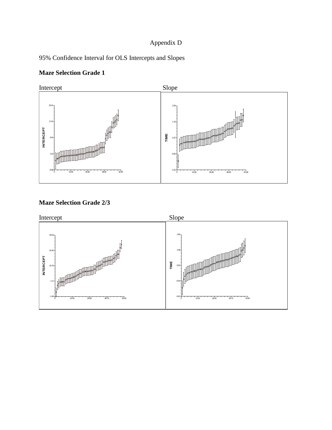# Appendix D

# 95% Confidence Interval for OLS Intercepts and Slopes

# **Maze Selection Grade 1**



# **Maze Selection Grade 2/3**

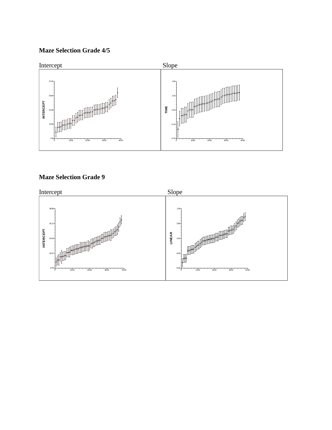# **Maze Selection Grade 4/5**



# **Maze Selection Grade 9**

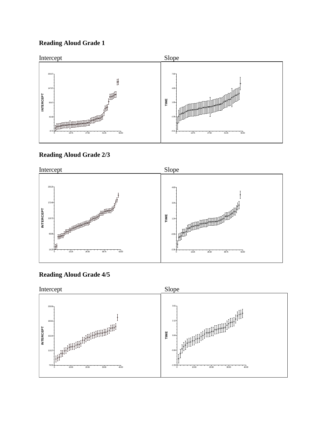# **Reading Aloud Grade 1**



## **Reading Aloud Grade 2/3**



# **Reading Aloud Grade 4/5**